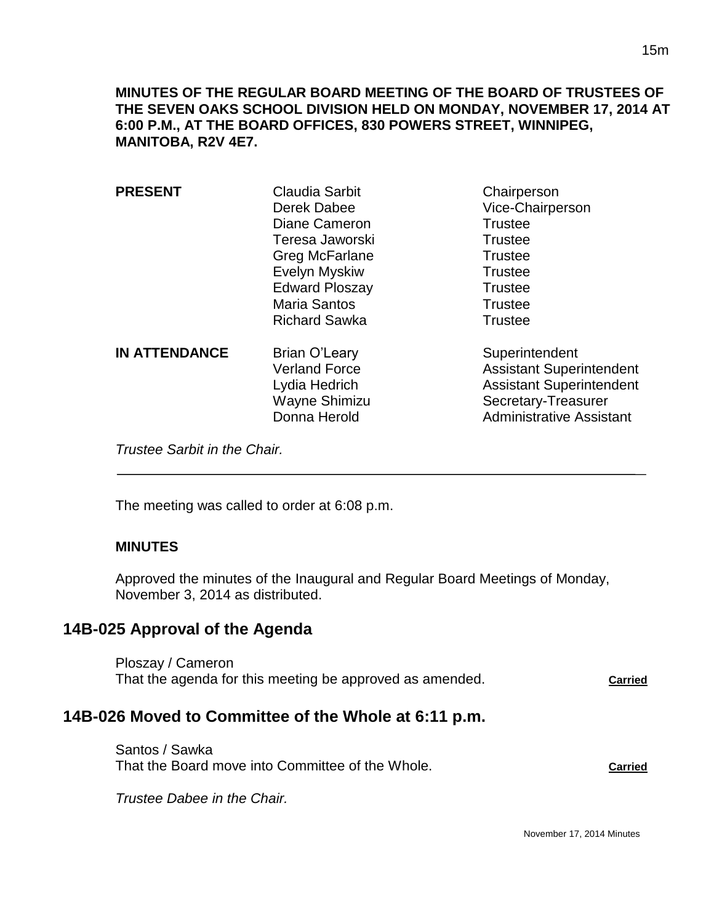| <b>PRESENT</b>       | <b>Claudia Sarbit</b><br>Derek Dabee<br>Diane Cameron<br>Teresa Jaworski<br>Greg McFarlane<br>Evelyn Myskiw<br><b>Edward Ploszay</b><br><b>Maria Santos</b><br><b>Richard Sawka</b> | Chairperson<br>Vice-Chairperson<br><b>Trustee</b><br><b>Trustee</b><br><b>Trustee</b><br><b>Trustee</b><br><b>Trustee</b><br><b>Trustee</b><br><b>Trustee</b> |
|----------------------|-------------------------------------------------------------------------------------------------------------------------------------------------------------------------------------|---------------------------------------------------------------------------------------------------------------------------------------------------------------|
| <b>IN ATTENDANCE</b> | <b>Brian O'Leary</b><br><b>Verland Force</b><br>Lydia Hedrich<br>Wayne Shimizu<br>Donna Herold                                                                                      | Superintendent<br><b>Assistant Superintendent</b><br><b>Assistant Superintendent</b><br>Secretary-Treasurer<br><b>Administrative Assistant</b>                |

*Trustee Sarbit in the Chair.* 

The meeting was called to order at 6:08 p.m.

# **MINUTES**

 $\overline{a}$ 

Approved the minutes of the Inaugural and Regular Board Meetings of Monday, November 3, 2014 as distributed.

# **14B-025 Approval of the Agenda**

Ploszay / Cameron That the agenda for this meeting be approved as amended. Carried

# **14B-026 Moved to Committee of the Whole at 6:11 p.m.**

Santos / Sawka That the Board move into Committee of the Whole. **Carried Carried** 

*Trustee Dabee in the Chair.*

November 17, 2014 Minutes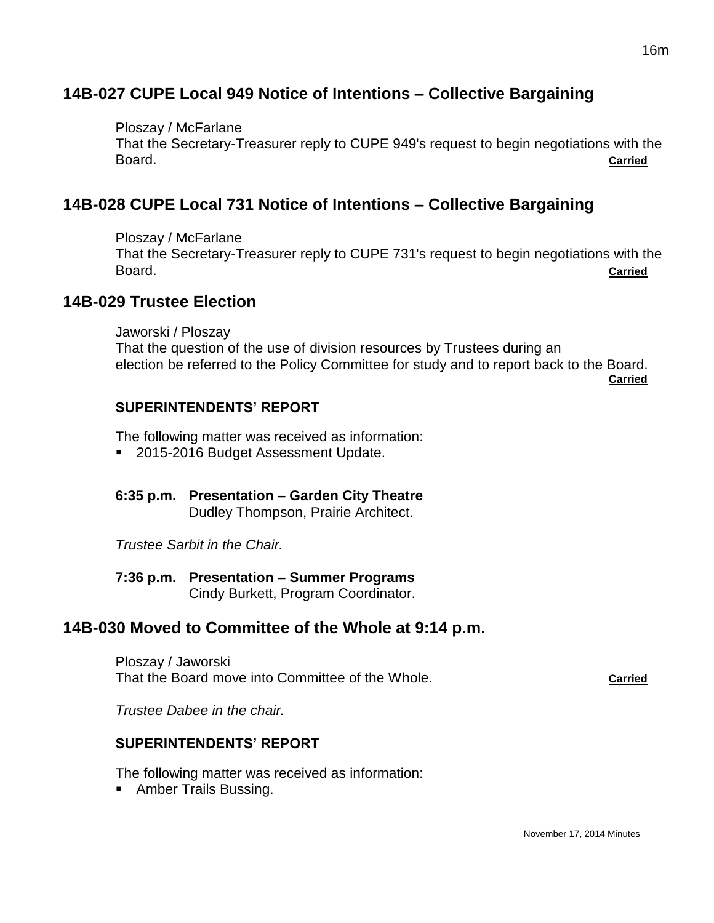# **14B-027 CUPE Local 949 Notice of Intentions – Collective Bargaining**

Ploszay / McFarlane

That the Secretary-Treasurer reply to CUPE 949's request to begin negotiations with the Board. **Carried**

# **14B-028 CUPE Local 731 Notice of Intentions – Collective Bargaining**

Ploszay / McFarlane

That the Secretary-Treasurer reply to CUPE 731's request to begin negotiations with the Board. **Carried**

# **14B-029 Trustee Election**

Jaworski / Ploszay That the question of the use of division resources by Trustees during an election be referred to the Policy Committee for study and to report back to the Board. **Carried**

### **SUPERINTENDENTS' REPORT**

The following matter was received as information:

- 2015-2016 Budget Assessment Update.
- **6:35 p.m. Presentation – Garden City Theatre** Dudley Thompson, Prairie Architect.

*Trustee Sarbit in the Chair.*

**7:36 p.m. Presentation – Summer Programs**

Cindy Burkett, Program Coordinator.

# **14B-030 Moved to Committee of the Whole at 9:14 p.m.**

Ploszay / Jaworski That the Board move into Committee of the Whole. **Carried**

*Trustee Dabee in the chair.*

### **SUPERINTENDENTS' REPORT**

The following matter was received as information:

**Amber Trails Bussing.**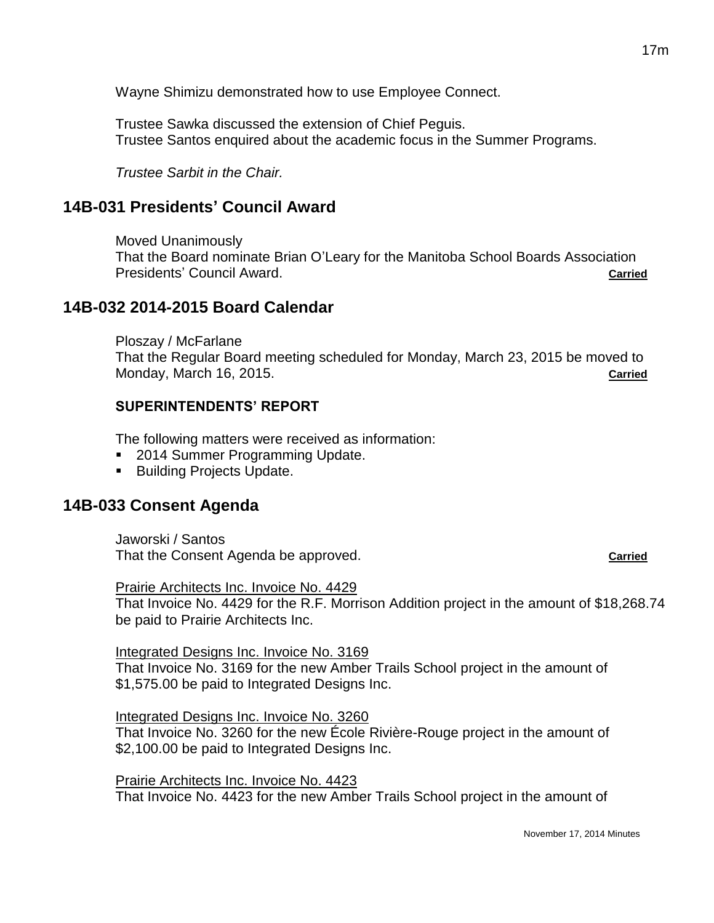Wayne Shimizu demonstrated how to use Employee Connect.

Trustee Sawka discussed the extension of Chief Peguis. Trustee Santos enquired about the academic focus in the Summer Programs.

*Trustee Sarbit in the Chair.*

# **14B-031 Presidents' Council Award**

Moved Unanimously That the Board nominate Brian O'Leary for the Manitoba School Boards Association Presidents' Council Award. **Carried Carried Carried Carried** 

### **14B-032 2014-2015 Board Calendar**

Ploszay / McFarlane That the Regular Board meeting scheduled for Monday, March 23, 2015 be moved to Monday, March 16, 2015. **Carried**

### **SUPERINTENDENTS' REPORT**

The following matters were received as information:

- 2014 Summer Programming Update.
- Building Projects Update.

# **14B-033 Consent Agenda**

Jaworski / Santos That the Consent Agenda be approved. **Carried Carried** 

#### Prairie Architects Inc. Invoice No. 4429

That Invoice No. 4429 for the R.F. Morrison Addition project in the amount of \$18,268.74 be paid to Prairie Architects Inc.

#### Integrated Designs Inc. Invoice No. 3169

That Invoice No. 3169 for the new Amber Trails School project in the amount of \$1,575.00 be paid to Integrated Designs Inc.

#### Integrated Designs Inc. Invoice No. 3260

That Invoice No. 3260 for the new École Rivière-Rouge project in the amount of \$2,100.00 be paid to Integrated Designs Inc.

Prairie Architects Inc. Invoice No. 4423 That Invoice No. 4423 for the new Amber Trails School project in the amount of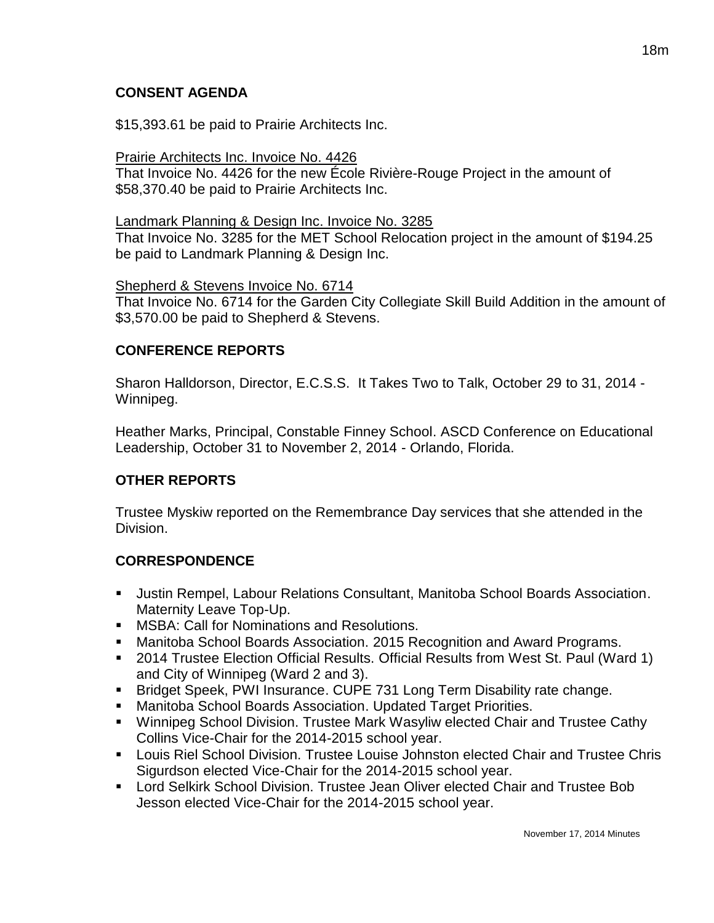# **CONSENT AGENDA**

\$15,393.61 be paid to Prairie Architects Inc.

### Prairie Architects Inc. Invoice No. 4426

That Invoice No. 4426 for the new École Rivière-Rouge Project in the amount of \$58,370.40 be paid to Prairie Architects Inc.

#### Landmark Planning & Design Inc. Invoice No. 3285

That Invoice No. 3285 for the MET School Relocation project in the amount of \$194.25 be paid to Landmark Planning & Design Inc.

### Shepherd & Stevens Invoice No. 6714

That Invoice No. 6714 for the Garden City Collegiate Skill Build Addition in the amount of \$3,570.00 be paid to Shepherd & Stevens.

### **CONFERENCE REPORTS**

Sharon Halldorson, Director, E.C.S.S. It Takes Two to Talk, October 29 to 31, 2014 - Winnipeg.

Heather Marks, Principal, Constable Finney School. ASCD Conference on Educational Leadership, October 31 to November 2, 2014 - Orlando, Florida.

### **OTHER REPORTS**

Trustee Myskiw reported on the Remembrance Day services that she attended in the Division.

### **CORRESPONDENCE**

- Justin Rempel, Labour Relations Consultant, Manitoba School Boards Association. Maternity Leave Top-Up.
- **MSBA: Call for Nominations and Resolutions.**
- Manitoba School Boards Association. 2015 Recognition and Award Programs.
- 2014 Trustee Election Official Results. Official Results from West St. Paul (Ward 1) and City of Winnipeg (Ward 2 and 3).
- Bridget Speek, PWI Insurance. CUPE 731 Long Term Disability rate change.
- Manitoba School Boards Association. Updated Target Priorities.
- Winnipeg School Division. Trustee Mark Wasyliw elected Chair and Trustee Cathy Collins Vice-Chair for the 2014-2015 school year.
- **Louis Riel School Division. Trustee Louise Johnston elected Chair and Trustee Chris** Sigurdson elected Vice-Chair for the 2014-2015 school year.
- Lord Selkirk School Division. Trustee Jean Oliver elected Chair and Trustee Bob Jesson elected Vice-Chair for the 2014-2015 school year.